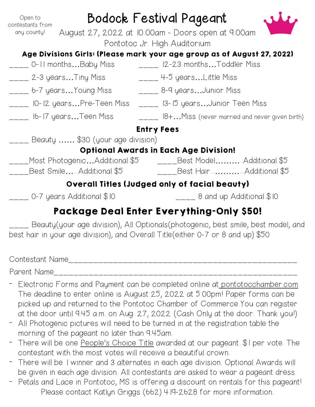| Open to<br>contestants from                                                   | Bodock Festival Pageant<br>August 27, 2022 at 10:00am - Doors open at 9:00am |                   |                                                                                                                                                                                                                                                                                                                |  |  |
|-------------------------------------------------------------------------------|------------------------------------------------------------------------------|-------------------|----------------------------------------------------------------------------------------------------------------------------------------------------------------------------------------------------------------------------------------------------------------------------------------------------------------|--|--|
| any county!                                                                   |                                                                              |                   |                                                                                                                                                                                                                                                                                                                |  |  |
|                                                                               |                                                                              |                   | Pontotoc Jr. High Auditorium                                                                                                                                                                                                                                                                                   |  |  |
|                                                                               |                                                                              |                   | Age Divisions Girls: (Please mark your age group as of August 27, 2022)                                                                                                                                                                                                                                        |  |  |
|                                                                               |                                                                              |                   | $\frac{1}{2}$  2-23 months Toddler Miss                                                                                                                                                                                                                                                                        |  |  |
| ____ 2-3 yearsTiny Miss                                                       |                                                                              |                   | $\frac{1}{2}$ 4-5 years Little Miss                                                                                                                                                                                                                                                                            |  |  |
| .___ 6-7 yearsYoung Miss                                                      |                                                                              |                   | ____ 8-9 yearsJunior Miss                                                                                                                                                                                                                                                                                      |  |  |
| ___ IO-I2 yearsPre-Teen            Miss = ____ I3-I5 yearsJunior Teen    Miss |                                                                              |                   |                                                                                                                                                                                                                                                                                                                |  |  |
| ____ 16-17 yearsTeen Miss                                                     |                                                                              |                   | $\frac{1}{1}$ $\frac{1}{10}$ $\frac{1}{10}$ $\frac{1}{10}$ $\frac{1}{10}$ $\frac{1}{10}$ $\frac{1}{10}$ $\frac{1}{10}$ $\frac{1}{10}$ $\frac{1}{10}$ $\frac{1}{10}$ $\frac{1}{10}$ $\frac{1}{10}$ $\frac{1}{10}$ $\frac{1}{10}$ $\frac{1}{10}$ $\frac{1}{10}$ $\frac{1}{10}$ $\frac{1}{10}$ $\frac{1}{10}$ $\$ |  |  |
|                                                                               |                                                                              | <b>Entry Fees</b> |                                                                                                                                                                                                                                                                                                                |  |  |
| Beauty  \$30 (your age division)                                              |                                                                              |                   |                                                                                                                                                                                                                                                                                                                |  |  |
| <b>Optional Awards in Each Age Division!</b>                                  |                                                                              |                   |                                                                                                                                                                                                                                                                                                                |  |  |
|                                                                               |                                                                              |                   | _Most PhotogenicAdditional \$5    _____Best ModelAdditional \$5                                                                                                                                                                                                                                                |  |  |
| Best SmileAdditional \$5                                                      |                                                                              |                   | _____Best Hair………………Additional \$5                                                                                                                                                                                                                                                                             |  |  |
|                                                                               |                                                                              |                   | <b>Overall Titles (Judged only of facial beauty)</b>                                                                                                                                                                                                                                                           |  |  |
| ___ 0-7 years Additional \$10                                                 |                                                                              |                   | $\frac{1}{2}$ 8 and up Additional \$10                                                                                                                                                                                                                                                                         |  |  |
|                                                                               |                                                                              |                   | Package Deal Enter Everything-Only \$50!                                                                                                                                                                                                                                                                       |  |  |

## Beauty(your age division), All Optionals(photogenic, best smile, best model, and best hair in your age division), and Overall Title(either 0-7 or 8 and up) \$50

| Contestant Name |  |
|-----------------|--|
| Parent Name     |  |

- Electronic Forms and Payment can be completed online at [pontotocchamber.com.](http://ponototocchamber.com) The deadline to enter online is August 25, 2022 at 5:00pm! Paper forms can be picked up and returned to the Pontotoc Chamber of Commerce.You can register at the door until 9:45 a.m. on Aug. 27, 2022 (Cash Only at the door. Thank you!)
- All Photogenic pictures will need to be turned in at the registration table the morning of the pageant no later than 9:45am.
- There will be one People's Choice Title awarded at our pageant. \$I per vote. The contestant with the most votes will receive a beautiful crown.
- There will be 1 winner and 3 alternates in each age division. Optional Awards will be given in each age division. All contestants are asked to wear a pageant dress.
- Petals and Lace in Pontotoc, MS is offering a discount on rentals for this pageant! Please contact Katlyn Griggs (662) 419-2628 for more information.